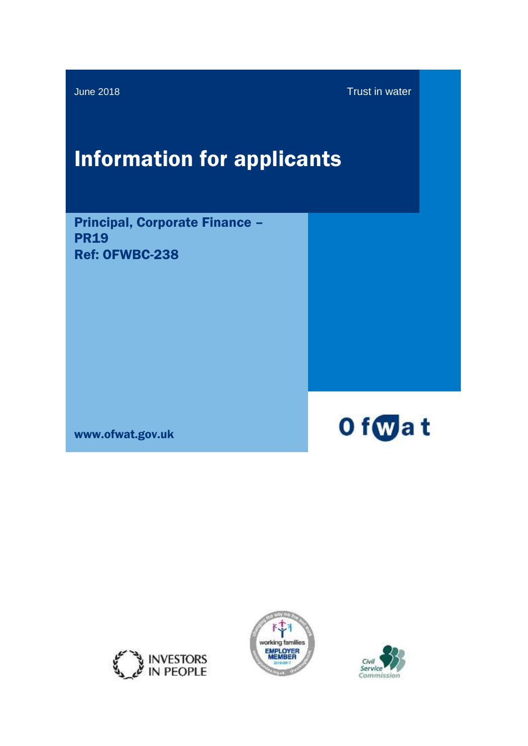June 2018 Trust in water

# Information for applicants

Principal, Corporate Finance – **PR19** Ref: OFWBC-238

www.ofwat.gov.uk







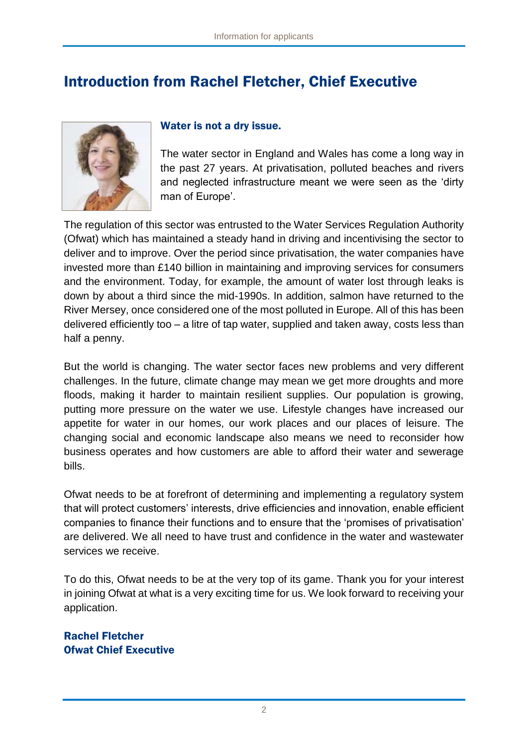# Introduction from Rachel Fletcher, Chief Executive



#### Water is not a dry issue.

The water sector in England and Wales has come a long way in the past 27 years. At privatisation, polluted beaches and rivers and neglected infrastructure meant we were seen as the 'dirty man of Europe'.

The regulation of this sector was entrusted to the Water Services Regulation Authority (Ofwat) which has maintained a steady hand in driving and incentivising the sector to deliver and to improve. Over the period since privatisation, the water companies have invested more than £140 billion in maintaining and improving services for consumers and the environment. Today, for example, the amount of water lost through leaks is down by about a third since the mid-1990s. In addition, salmon have returned to the River Mersey, once considered one of the most polluted in Europe. All of this has been delivered efficiently too – a litre of tap water, supplied and taken away, costs less than half a penny.

But the world is changing. The water sector faces new problems and very different challenges. In the future, climate change may mean we get more droughts and more floods, making it harder to maintain resilient supplies. Our population is growing, putting more pressure on the water we use. Lifestyle changes have increased our appetite for water in our homes, our work places and our places of leisure. The changing social and economic landscape also means we need to reconsider how business operates and how customers are able to afford their water and sewerage bills.

Ofwat needs to be at forefront of determining and implementing a regulatory system that will protect customers' interests, drive efficiencies and innovation, enable efficient companies to finance their functions and to ensure that the 'promises of privatisation' are delivered. We all need to have trust and confidence in the water and wastewater services we receive.

To do this, Ofwat needs to be at the very top of its game. Thank you for your interest in joining Ofwat at what is a very exciting time for us. We look forward to receiving your application.

Rachel Fletcher Ofwat Chief Executive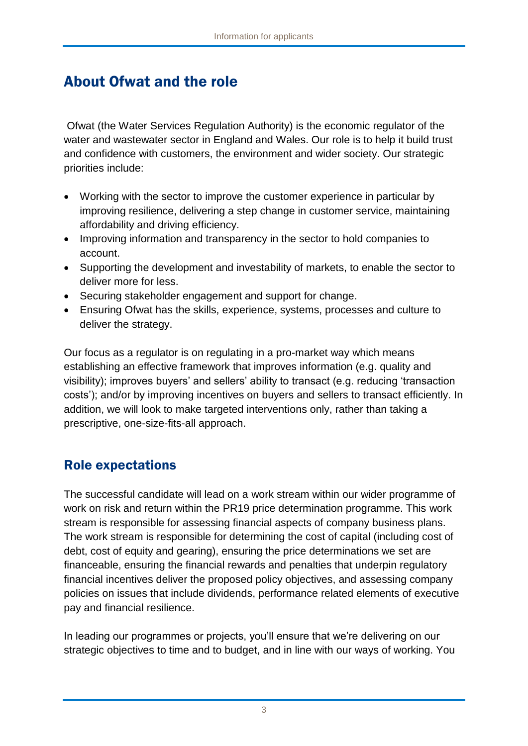# About Ofwat and the role

Ofwat (the Water Services Regulation Authority) is the economic regulator of the water and wastewater sector in England and Wales. Our role is to help it build trust and confidence with customers, the environment and wider society. Our strategic priorities include:

- Working with the sector to improve the customer experience in particular by improving resilience, delivering a step change in customer service, maintaining affordability and driving efficiency.
- Improving information and transparency in the sector to hold companies to account.
- Supporting the development and investability of markets, to enable the sector to deliver more for less.
- Securing stakeholder engagement and support for change.
- Ensuring Ofwat has the skills, experience, systems, processes and culture to deliver the strategy.

Our focus as a regulator is on regulating in a pro-market way which means establishing an effective framework that improves information (e.g. quality and visibility); improves buyers' and sellers' ability to transact (e.g. reducing 'transaction costs'); and/or by improving incentives on buyers and sellers to transact efficiently. In addition, we will look to make targeted interventions only, rather than taking a prescriptive, one-size-fits-all approach.

#### Role expectations

The successful candidate will lead on a work stream within our wider programme of work on risk and return within the PR19 price determination programme. This work stream is responsible for assessing financial aspects of company business plans. The work stream is responsible for determining the cost of capital (including cost of debt, cost of equity and gearing), ensuring the price determinations we set are financeable, ensuring the financial rewards and penalties that underpin regulatory financial incentives deliver the proposed policy objectives, and assessing company policies on issues that include dividends, performance related elements of executive pay and financial resilience.

In leading our programmes or projects, you'll ensure that we're delivering on our strategic objectives to time and to budget, and in line with our ways of working. You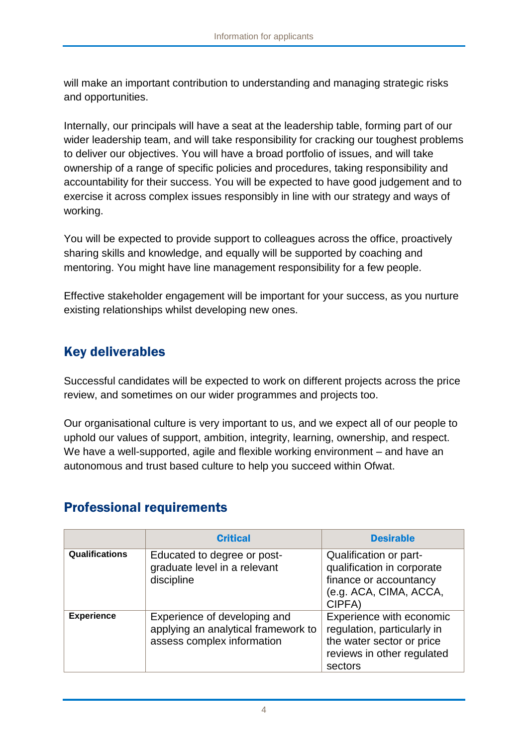will make an important contribution to understanding and managing strategic risks and opportunities.

Internally, our principals will have a seat at the leadership table, forming part of our wider leadership team, and will take responsibility for cracking our toughest problems to deliver our objectives. You will have a broad portfolio of issues, and will take ownership of a range of specific policies and procedures, taking responsibility and accountability for their success. You will be expected to have good judgement and to exercise it across complex issues responsibly in line with our strategy and ways of working.

You will be expected to provide support to colleagues across the office, proactively sharing skills and knowledge, and equally will be supported by coaching and mentoring. You might have line management responsibility for a few people.

Effective stakeholder engagement will be important for your success, as you nurture existing relationships whilst developing new ones.

### Key deliverables

Successful candidates will be expected to work on different projects across the price review, and sometimes on our wider programmes and projects too.

Our organisational culture is very important to us, and we expect all of our people to uphold our values of support, ambition, integrity, learning, ownership, and respect. We have a well-supported, agile and flexible working environment – and have an autonomous and trust based culture to help you succeed within Ofwat.

#### Professional requirements

|                       | <b>Critical</b>                                                                                   | <b>Desirable</b>                                                                                                              |
|-----------------------|---------------------------------------------------------------------------------------------------|-------------------------------------------------------------------------------------------------------------------------------|
| <b>Qualifications</b> | Educated to degree or post-<br>graduate level in a relevant<br>discipline                         | Qualification or part-<br>qualification in corporate<br>finance or accountancy<br>(e.g. ACA, CIMA, ACCA,<br>CIPFA)            |
| <b>Experience</b>     | Experience of developing and<br>applying an analytical framework to<br>assess complex information | Experience with economic<br>regulation, particularly in<br>the water sector or price<br>reviews in other regulated<br>sectors |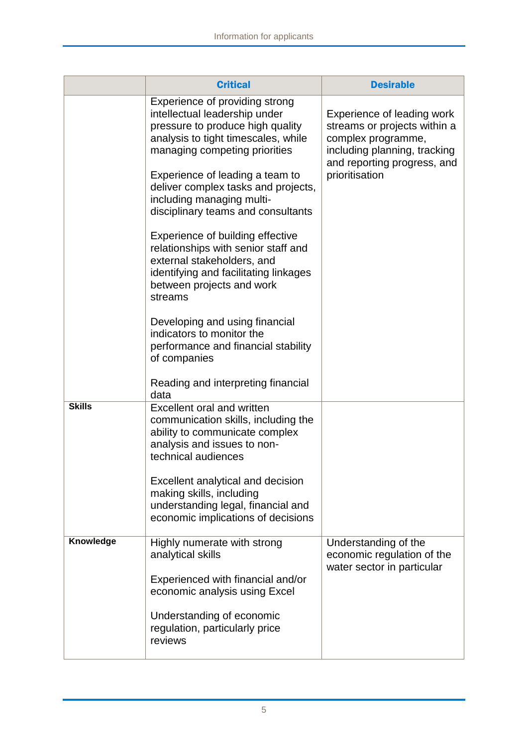|               | <b>Critical</b>                                                                                                                                                                                                                                                                                                                                                                                                                                                                                                                                                                                                                          | <b>Desirable</b>                                                                                                                                                  |
|---------------|------------------------------------------------------------------------------------------------------------------------------------------------------------------------------------------------------------------------------------------------------------------------------------------------------------------------------------------------------------------------------------------------------------------------------------------------------------------------------------------------------------------------------------------------------------------------------------------------------------------------------------------|-------------------------------------------------------------------------------------------------------------------------------------------------------------------|
|               | Experience of providing strong<br>intellectual leadership under<br>pressure to produce high quality<br>analysis to tight timescales, while<br>managing competing priorities<br>Experience of leading a team to<br>deliver complex tasks and projects,<br>including managing multi-<br>disciplinary teams and consultants<br>Experience of building effective<br>relationships with senior staff and<br>external stakeholders, and<br>identifying and facilitating linkages<br>between projects and work<br>streams<br>Developing and using financial<br>indicators to monitor the<br>performance and financial stability<br>of companies | Experience of leading work<br>streams or projects within a<br>complex programme,<br>including planning, tracking<br>and reporting progress, and<br>prioritisation |
| <b>Skills</b> | Reading and interpreting financial<br>data<br>Excellent oral and written<br>communication skills, including the<br>ability to communicate complex<br>analysis and issues to non-<br>technical audiences<br>Excellent analytical and decision<br>making skills, including<br>understanding legal, financial and<br>economic implications of decisions                                                                                                                                                                                                                                                                                     |                                                                                                                                                                   |
| Knowledge     | Highly numerate with strong<br>analytical skills<br>Experienced with financial and/or<br>economic analysis using Excel<br>Understanding of economic<br>regulation, particularly price<br>reviews                                                                                                                                                                                                                                                                                                                                                                                                                                         | Understanding of the<br>economic regulation of the<br>water sector in particular                                                                                  |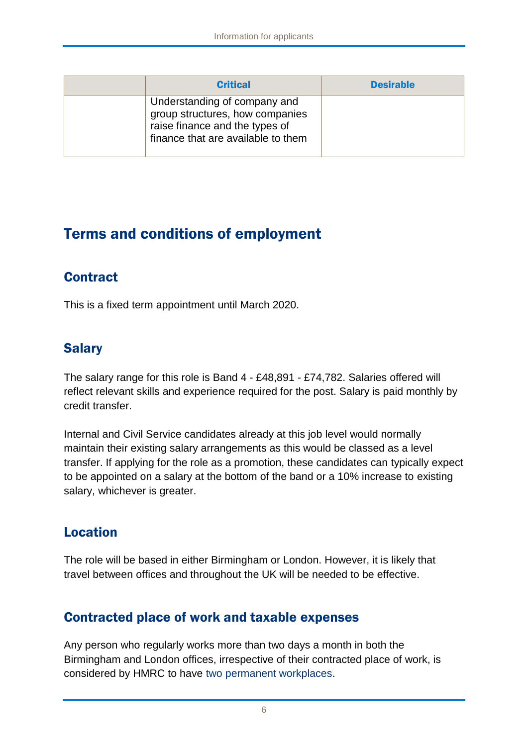| <b>Critical</b>                                                                                                                         | <b>Desirable</b> |
|-----------------------------------------------------------------------------------------------------------------------------------------|------------------|
| Understanding of company and<br>group structures, how companies<br>raise finance and the types of<br>finance that are available to them |                  |

# Terms and conditions of employment

### **Contract**

This is a fixed term appointment until March 2020.

#### Salary

The salary range for this role is Band 4 - £48,891 - £74,782. Salaries offered will reflect relevant skills and experience required for the post. Salary is paid monthly by credit transfer.

Internal and Civil Service candidates already at this job level would normally maintain their existing salary arrangements as this would be classed as a level transfer. If applying for the role as a promotion, these candidates can typically expect to be appointed on a salary at the bottom of the band or a 10% increase to existing salary, whichever is greater.

# Location

The role will be based in either Birmingham or London. However, it is likely that travel between offices and throughout the UK will be needed to be effective.

#### Contracted place of work and taxable expenses

Any person who regularly works more than two days a month in both the Birmingham and London offices, irrespective of their contracted place of work, is considered by HMRC to have two permanent workplaces.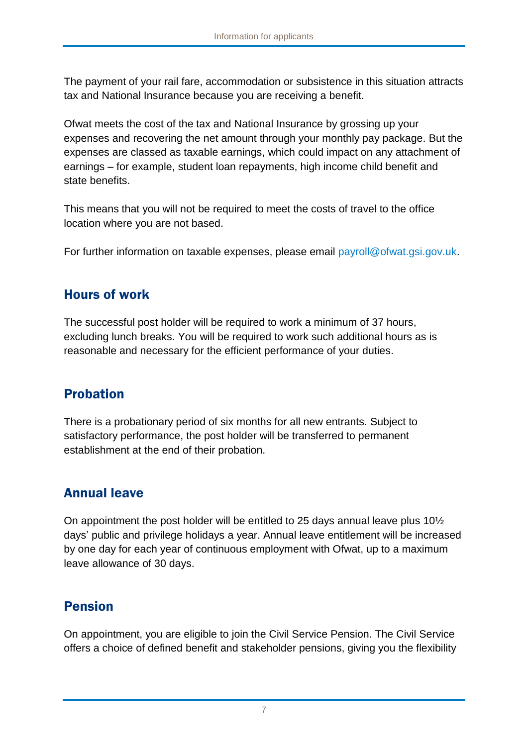The payment of your rail fare, accommodation or subsistence in this situation attracts tax and National Insurance because you are receiving a benefit.

Ofwat meets the cost of the tax and National Insurance by grossing up your expenses and recovering the net amount through your monthly pay package. But the expenses are classed as taxable earnings, which could impact on any attachment of earnings – for example, student loan repayments, high income child benefit and state benefits.

This means that you will not be required to meet the costs of travel to the office location where you are not based.

For further information on taxable expenses, please email [payroll@ofwat.gsi.gov.uk.](mailto:payroll@ofwat.gsi.gov.uk)

#### Hours of work

The successful post holder will be required to work a minimum of 37 hours, excluding lunch breaks. You will be required to work such additional hours as is reasonable and necessary for the efficient performance of your duties.

#### Probation

There is a probationary period of six months for all new entrants. Subject to satisfactory performance, the post holder will be transferred to permanent establishment at the end of their probation.

### Annual leave

On appointment the post holder will be entitled to 25 days annual leave plus 10½ days' public and privilege holidays a year. Annual leave entitlement will be increased by one day for each year of continuous employment with Ofwat, up to a maximum leave allowance of 30 days.

### Pension

On appointment, you are eligible to join the Civil Service Pension. The Civil Service offers a choice of defined benefit and stakeholder pensions, giving you the flexibility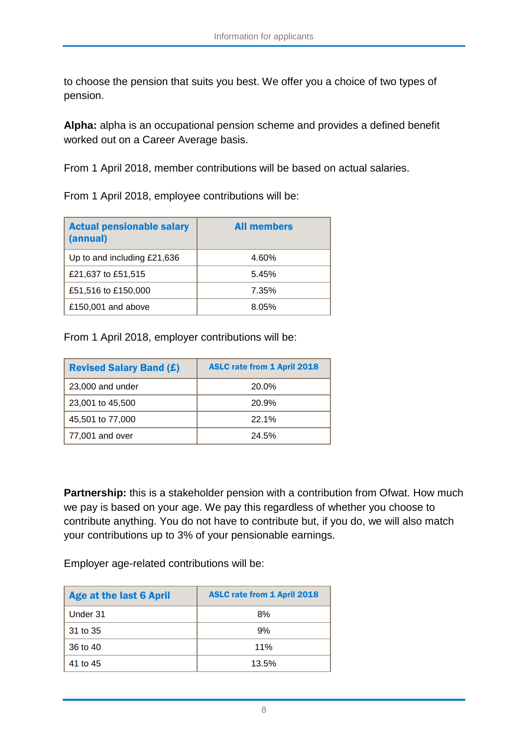to choose the pension that suits you best. We offer you a choice of two types of pension.

**Alpha:** alpha is an occupational pension scheme and provides a defined benefit worked out on a Career Average basis.

From 1 April 2018, member contributions will be based on actual salaries.

From 1 April 2018, employee contributions will be:

| <b>Actual pensionable salary</b><br>(annual) | <b>All members</b> |
|----------------------------------------------|--------------------|
| Up to and including £21,636                  | 4.60%              |
| £21,637 to £51,515                           | 5.45%              |
| £51,516 to £150,000                          | 7.35%              |
| £150,001 and above                           | 8.05%              |

From 1 April 2018, employer contributions will be:

| <b>Revised Salary Band (£)</b> | <b>ASLC rate from 1 April 2018</b> |
|--------------------------------|------------------------------------|
| 23,000 and under               | 20.0%                              |
| 23,001 to 45,500               | 20.9%                              |
| 45,501 to 77,000               | 22.1%                              |
| 77,001 and over                | 24.5%                              |

**Partnership:** this is a stakeholder pension with a contribution from Ofwat. How much we pay is based on your age. We pay this regardless of whether you choose to contribute anything. You do not have to contribute but, if you do, we will also match your contributions up to 3% of your pensionable earnings.

Employer age-related contributions will be:

| <b>Age at the last 6 April</b> | <b>ASLC rate from 1 April 2018</b> |
|--------------------------------|------------------------------------|
| Under 31                       | 8%                                 |
| 31 to 35                       | 9%                                 |
| 36 to 40                       | 11%                                |
| 41 to 45                       | 13.5%                              |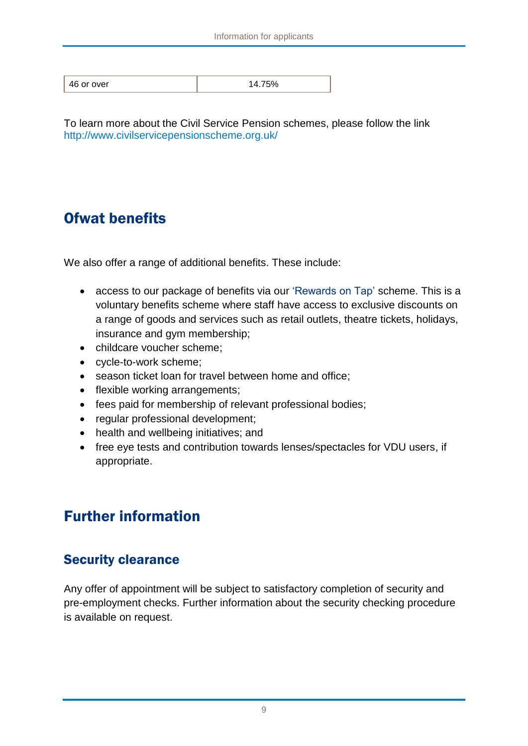To learn more about the Civil Service Pension schemes, please follow the link <http://www.civilservicepensionscheme.org.uk/>

# Ofwat benefits

We also offer a range of additional benefits. These include:

- access to our package of benefits via our 'Rewards on Tap' scheme. This is a voluntary benefits scheme where staff have access to exclusive discounts on a range of goods and services such as retail outlets, theatre tickets, holidays, insurance and gym membership;
- childcare voucher scheme;
- cycle-to-work scheme;
- season ticket loan for travel between home and office;
- flexible working arrangements;
- fees paid for membership of relevant professional bodies;
- regular professional development;
- health and wellbeing initiatives; and
- free eye tests and contribution towards lenses/spectacles for VDU users, if appropriate.

# Further information

#### Security clearance

Any offer of appointment will be subject to satisfactory completion of security and pre-employment checks. Further information about the security checking procedure is available on request.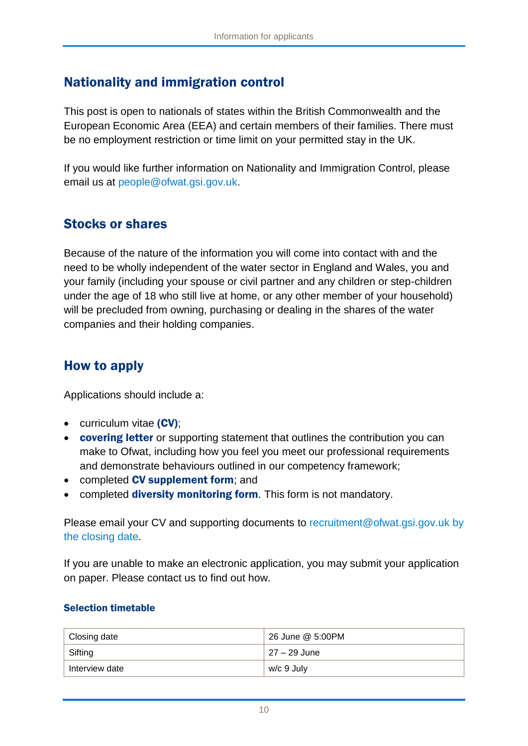#### Nationality and immigration control

This post is open to nationals of states within the British Commonwealth and the European Economic Area (EEA) and certain members of their families. There must be no employment restriction or time limit on your permitted stay in the UK.

If you would like further information on Nationality and Immigration Control, please email us at [people@ofwat.gsi.gov.uk.](mailto:hr@ofwat.gsi.gov.uk)

#### Stocks or shares

Because of the nature of the information you will come into contact with and the need to be wholly independent of the water sector in England and Wales, you and your family (including your spouse or civil partner and any children or step-children under the age of 18 who still live at home, or any other member of your household) will be precluded from owning, purchasing or dealing in the shares of the water companies and their holding companies.

#### How to apply

Applications should include a:

- curriculum vitae (CV);
- **covering letter** or supporting statement that outlines the contribution you can make to Ofwat, including how you feel you meet our professional requirements and demonstrate behaviours outlined in our competency framework;
- completed CV supplement form; and
- completed **diversity monitoring form**. This form is not mandatory.

Please email your CV and supporting documents to [recruitment@ofwat.gsi.gov.uk](mailto:recruitment@ofwat.gsi.gov.uk) by the closing date.

If you are unable to make an electronic application, you may submit your application on paper. Please contact us to find out how.

#### Selection timetable

| Closing date   | 26 June @ 5:00PM |
|----------------|------------------|
| Sifting        | 27 – 29 June     |
| Interview date | w/c 9 July       |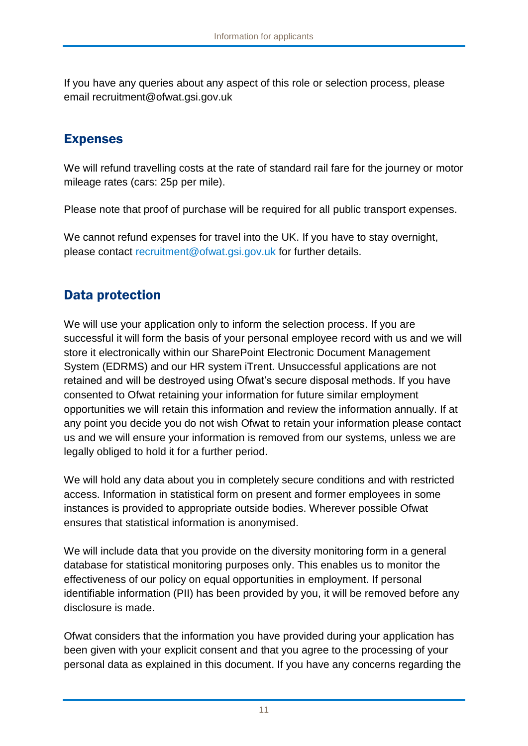If you have any queries about any aspect of this role or selection process, please email recruitment@ofwat.gsi.gov.uk

#### Expenses

We will refund travelling costs at the rate of standard rail fare for the journey or motor mileage rates (cars: 25p per mile).

Please note that proof of purchase will be required for all public transport expenses.

We cannot refund expenses for travel into the UK. If you have to stay overnight, please contact [recruitment@ofwat.gsi.gov.uk](mailto:recruitment@ofwat.gsi.gov.uk) for further details.

#### Data protection

We will use your application only to inform the selection process. If you are successful it will form the basis of your personal employee record with us and we will store it electronically within our SharePoint Electronic Document Management System (EDRMS) and our HR system iTrent. Unsuccessful applications are not retained and will be destroyed using Ofwat's secure disposal methods. If you have consented to Ofwat retaining your information for future similar employment opportunities we will retain this information and review the information annually. If at any point you decide you do not wish Ofwat to retain your information please contact us and we will ensure your information is removed from our systems, unless we are legally obliged to hold it for a further period.

We will hold any data about you in completely secure conditions and with restricted access. Information in statistical form on present and former employees in some instances is provided to appropriate outside bodies. Wherever possible Ofwat ensures that statistical information is anonymised.

We will include data that you provide on the diversity monitoring form in a general database for statistical monitoring purposes only. This enables us to monitor the effectiveness of our policy on equal opportunities in employment. If personal identifiable information (PII) has been provided by you, it will be removed before any disclosure is made.

Ofwat considers that the information you have provided during your application has been given with your explicit consent and that you agree to the processing of your personal data as explained in this document. If you have any concerns regarding the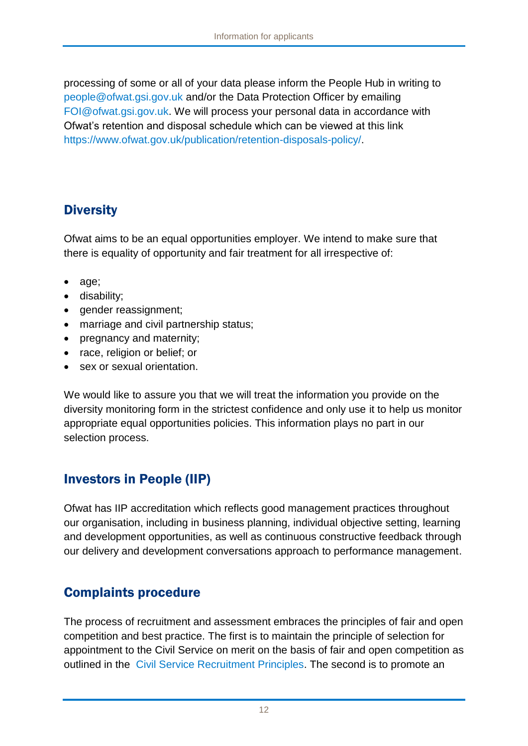processing of some or all of your data please inform the People Hub in writing to [people@ofwat.gsi.gov.uk](mailto:people@ofwat.gsi.gov.uk) and/or the Data Protection Officer by emailing [FOI@ofwat.gsi.gov.uk.](mailto:FOI@ofwat.gsi.gov.uk) We will process your personal data in accordance with Ofwat's retention and disposal schedule which can be viewed at this link [https://www.ofwat.gov.uk/publication/retention-disposals-policy/.](https://www.ofwat.gov.uk/publication/retention-disposals-policy/)

## **Diversity**

Ofwat aims to be an equal opportunities employer. We intend to make sure that there is equality of opportunity and fair treatment for all irrespective of:

- age;
- disability;
- gender reassignment;
- marriage and civil partnership status;
- pregnancy and maternity;
- race, religion or belief; or
- sex or sexual orientation.

We would like to assure you that we will treat the information you provide on the diversity monitoring form in the strictest confidence and only use it to help us monitor appropriate equal opportunities policies. This information plays no part in our selection process.

# Investors in People (IIP)

Ofwat has IIP accreditation which reflects good management practices throughout our organisation, including in business planning, individual objective setting, learning and development opportunities, as well as continuous constructive feedback through our delivery and development conversations approach to performance management.

### Complaints procedure

The process of recruitment and assessment embraces the principles of fair and open competition and best practice. The first is to maintain the principle of selection for appointment to the Civil Service on merit on the basis of fair and open competition as outlined in the [Civil Service Recruitment Principles.](http://civilservicecommission.independent.gov.uk/wp-content/uploads/2012/03/RECRUITMENT-PRINCIPLES-December-2014.pdf) The second is to promote an